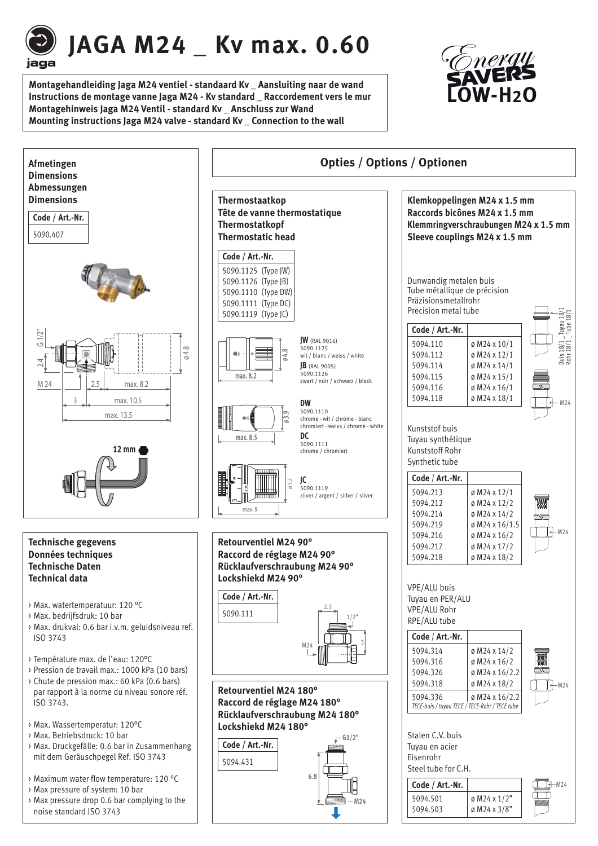

# **JAGA M24 \_ Kv max. 0.60**

**Montagehandleiding Jaga M24 ventiel - standaard Kv \_ Aansluiting naar de wand Instructions de montage vanne Jaga M24 - Kv standard \_ Raccordement vers le mur Montagehinweis Jaga M24 Ventil - standard Kv \_ Anschluss zur Wand Mounting instructions Jaga M24 valve - standard Kv \_ Connection to the wall**